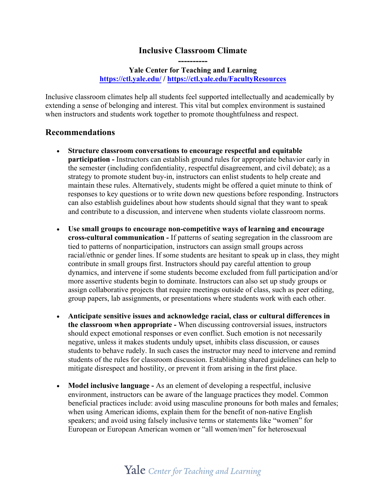## **Inclusive Classroom Climate ----------**

## **Yale Center for Teaching and Learning https://ctl.yale.edu/ / https://ctl.yale.edu/FacultyResources**

Inclusive classroom climates help all students feel supported intellectually and academically by extending a sense of belonging and interest. This vital but complex environment is sustained when instructors and students work together to promote thoughtfulness and respect.

## **Recommendations**

- **Structure classroom conversations to encourage respectful and equitable participation -** Instructors can establish ground rules for appropriate behavior early in the semester (including confidentiality, respectful disagreement, and civil debate); as a strategy to promote student buy-in, instructors can enlist students to help create and maintain these rules. Alternatively, students might be offered a quiet minute to think of responses to key questions or to write down new questions before responding. Instructors can also establish guidelines about how students should signal that they want to speak and contribute to a discussion, and intervene when students violate classroom norms.
- **Use small groups to encourage non-competitive ways of learning and encourage cross-cultural communication -** If patterns of seating segregation in the classroom are tied to patterns of nonparticipation, instructors can assign small groups across racial/ethnic or gender lines. If some students are hesitant to speak up in class, they might contribute in small groups first. Instructors should pay careful attention to group dynamics, and intervene if some students become excluded from full participation and/or more assertive students begin to dominate. Instructors can also set up study groups or assign collaborative projects that require meetings outside of class, such as peer editing, group papers, lab assignments, or presentations where students work with each other.
- **Anticipate sensitive issues and acknowledge racial, class or cultural differences in the classroom when appropriate -** When discussing controversial issues, instructors should expect emotional responses or even conflict. Such emotion is not necessarily negative, unless it makes students unduly upset, inhibits class discussion, or causes students to behave rudely. In such cases the instructor may need to intervene and remind students of the rules for classroom discussion. Establishing shared guidelines can help to mitigate disrespect and hostility, or prevent it from arising in the first place.
- **Model inclusive language -** As an element of developing a respectful, inclusive environment, instructors can be aware of the language practices they model. Common beneficial practices include: avoid using masculine pronouns for both males and females; when using American idioms, explain them for the benefit of non-native English speakers; and avoid using falsely inclusive terms or statements like "women" for European or European American women or "all women/men" for heterosexual